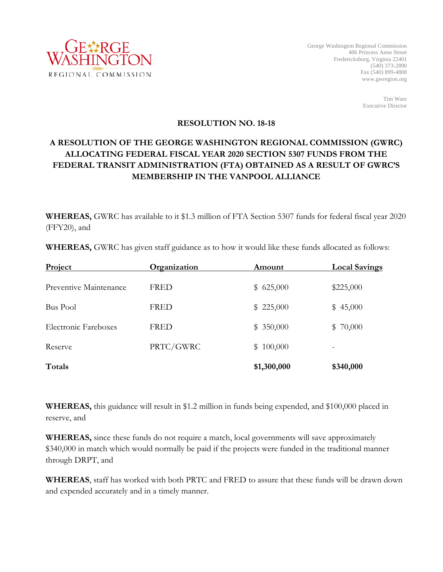

Tim Ware Executive Director

## **RESOLUTION NO. 18-18**

## **A RESOLUTION OF THE GEORGE WASHINGTON REGIONAL COMMISSION (GWRC) ALLOCATING FEDERAL FISCAL YEAR 2020 SECTION 5307 FUNDS FROM THE FEDERAL TRANSIT ADMINISTRATION (FTA) OBTAINED AS A RESULT OF GWRC'S MEMBERSHIP IN THE VANPOOL ALLIANCE**

**WHEREAS,** GWRC has available to it \$1.3 million of FTA Section 5307 funds for federal fiscal year 2020 (FFY20), and

**WHEREAS,** GWRC has given staff guidance as to how it would like these funds allocated as follows:

| Project                | Organization | Amount      | <b>Local Savings</b> |
|------------------------|--------------|-------------|----------------------|
| Preventive Maintenance | <b>FRED</b>  | \$625,000   | \$225,000            |
| <b>Bus Pool</b>        | <b>FRED</b>  | \$225,000   | \$45,000             |
| Electronic Fareboxes   | <b>FRED</b>  | \$350,000   | \$70,000             |
| Reserve                | PRTC/GWRC    | \$100,000   |                      |
| Totals                 |              | \$1,300,000 | \$340,000            |

**WHEREAS,** this guidance will result in \$1.2 million in funds being expended, and \$100,000 placed in reserve, and

**WHEREAS,** since these funds do not require a match, local governments will save approximately \$340,000 in match which would normally be paid if the projects were funded in the traditional manner through DRPT, and

**WHEREAS**, staff has worked with both PRTC and FRED to assure that these funds will be drawn down and expended accurately and in a timely manner.